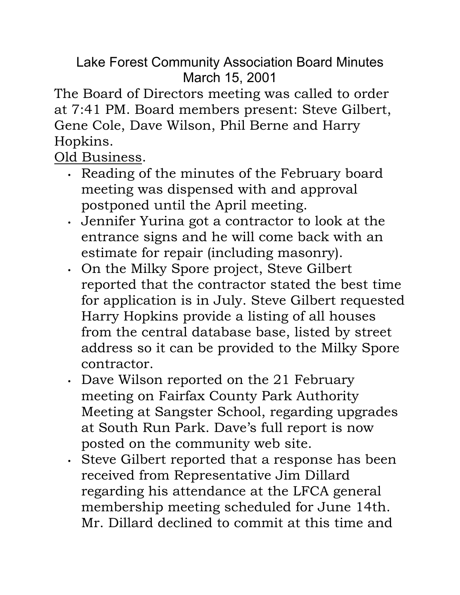Lake Forest Community Association Board Minutes March 15, 2001

The Board of Directors meeting was called to order at 7:41 PM. Board members present: Steve Gilbert, Gene Cole, Dave Wilson, Phil Berne and Harry Hopkins.

Old Business.

- Reading of the minutes of the February board meeting was dispensed with and approval postponed until the April meeting.
- Jennifer Yurina got a contractor to look at the entrance signs and he will come back with an estimate for repair (including masonry).
- On the Milky Spore project, Steve Gilbert reported that the contractor stated the best time for application is in July. Steve Gilbert requested Harry Hopkins provide a listing of all houses from the central database base, listed by street address so it can be provided to the Milky Spore contractor.
- Dave Wilson reported on the 21 February meeting on Fairfax County Park Authority Meeting at Sangster School, regarding upgrades at South Run Park. Dave's full report is now posted on the community web site.
- Steve Gilbert reported that a response has been received from Representative Jim Dillard regarding his attendance at the LFCA general membership meeting scheduled for June 14th. Mr. Dillard declined to commit at this time and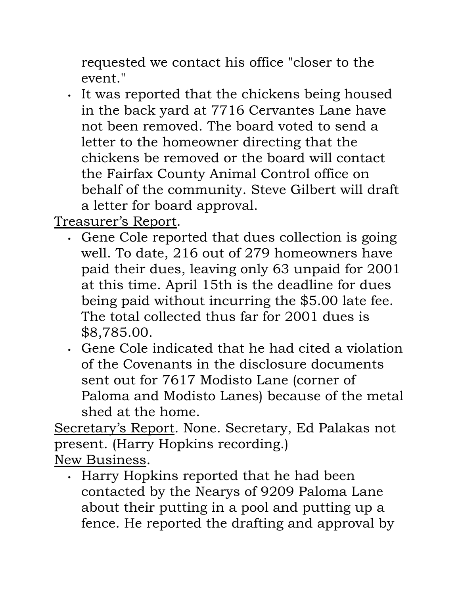requested we contact his office "closer to the event."

• It was reported that the chickens being housed in the back yard at 7716 Cervantes Lane have not been removed. The board voted to send a letter to the homeowner directing that the chickens be removed or the board will contact the Fairfax County Animal Control office on behalf of the community. Steve Gilbert will draft a letter for board approval.

Treasurer's Report.

- Gene Cole reported that dues collection is going well. To date, 216 out of 279 homeowners have paid their dues, leaving only 63 unpaid for 2001 at this time. April 15th is the deadline for dues being paid without incurring the \$5.00 late fee. The total collected thus far for 2001 dues is \$8,785.00.
- Gene Cole indicated that he had cited a violation of the Covenants in the disclosure documents sent out for 7617 Modisto Lane (corner of Paloma and Modisto Lanes) because of the metal shed at the home.

Secretary's Report. None. Secretary, Ed Palakas not present. (Harry Hopkins recording.) New Business.

• Harry Hopkins reported that he had been contacted by the Nearys of 9209 Paloma Lane about their putting in a pool and putting up a fence. He reported the drafting and approval by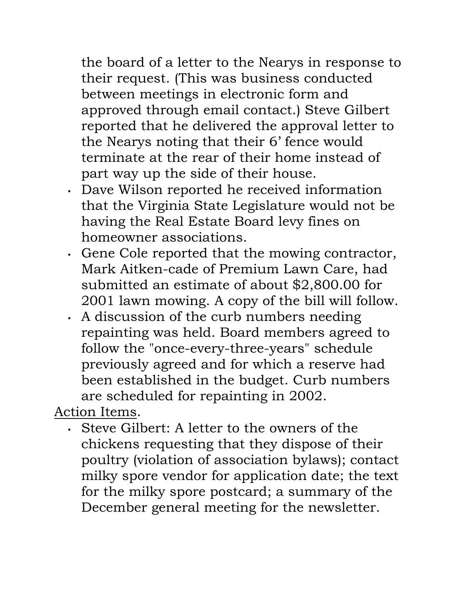the board of a letter to the Nearys in response to their request. (This was business conducted between meetings in electronic form and approved through email contact.) Steve Gilbert reported that he delivered the approval letter to the Nearys noting that their 6' fence would terminate at the rear of their home instead of part way up the side of their house.

- Dave Wilson reported he received information that the Virginia State Legislature would not be having the Real Estate Board levy fines on homeowner associations.
- Gene Cole reported that the mowing contractor, Mark Aitken-cade of Premium Lawn Care, had submitted an estimate of about \$2,800.00 for 2001 lawn mowing. A copy of the bill will follow.
- A discussion of the curb numbers needing repainting was held. Board members agreed to follow the "once-every-three-years" schedule previously agreed and for which a reserve had been established in the budget. Curb numbers are scheduled for repainting in 2002.

Action Items.

• Steve Gilbert: A letter to the owners of the chickens requesting that they dispose of their poultry (violation of association bylaws); contact milky spore vendor for application date; the text for the milky spore postcard; a summary of the December general meeting for the newsletter.